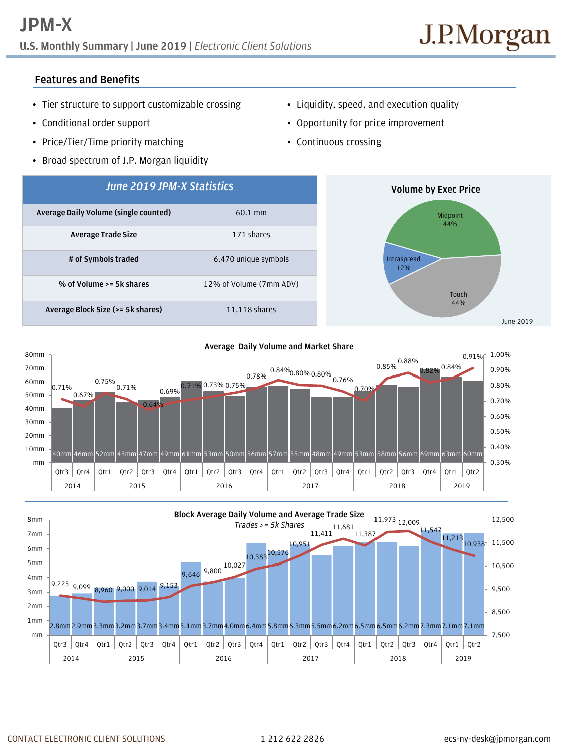# **U.S. Monthly Summary | June 2019 |** *Electronic Client Solutions*

## **Features and Benefits**

- Tier structure to support customizable crossing
- Conditional order support
- Price/Tier/Time priority matching
- Broad spectrum of J.P. Morgan liquidity
- Liquidity, speed, and execution quality
- Opportunity for price improvement
- Continuous crossing